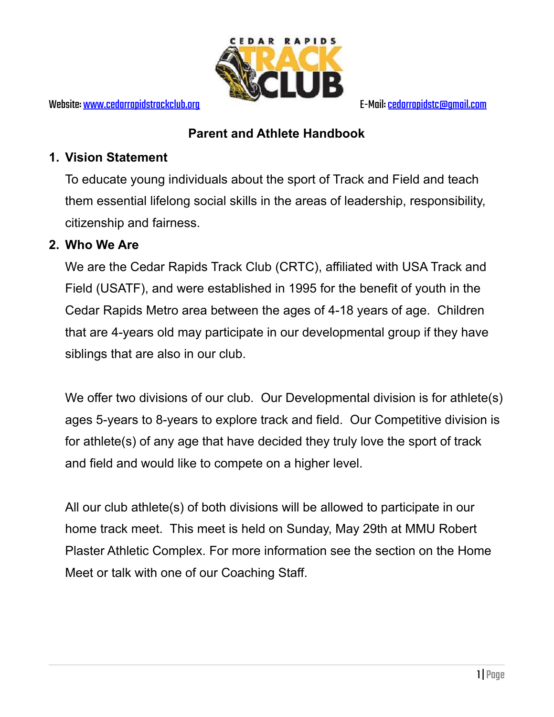

## **Parent and Athlete Handbook**

## **1. Vision Statement**

To educate young individuals about the sport of Track and Field and teach them essential lifelong social skills in the areas of leadership, responsibility, citizenship and fairness.

## **2. Who We Are**

We are the Cedar Rapids Track Club (CRTC), affiliated with USA Track and Field (USATF), and were established in 1995 for the benefit of youth in the Cedar Rapids Metro area between the ages of 4-18 years of age. Children that are 4-years old may participate in our developmental group if they have siblings that are also in our club.

We offer two divisions of our club. Our Developmental division is for athlete(s) ages 5-years to 8-years to explore track and field. Our Competitive division is for athlete(s) of any age that have decided they truly love the sport of track and field and would like to compete on a higher level.

All our club athlete(s) of both divisions will be allowed to participate in our home track meet. This meet is held on Sunday, May 29th at MMU Robert Plaster Athletic Complex. For more information see the section on the Home Meet or talk with one of our Coaching Staff.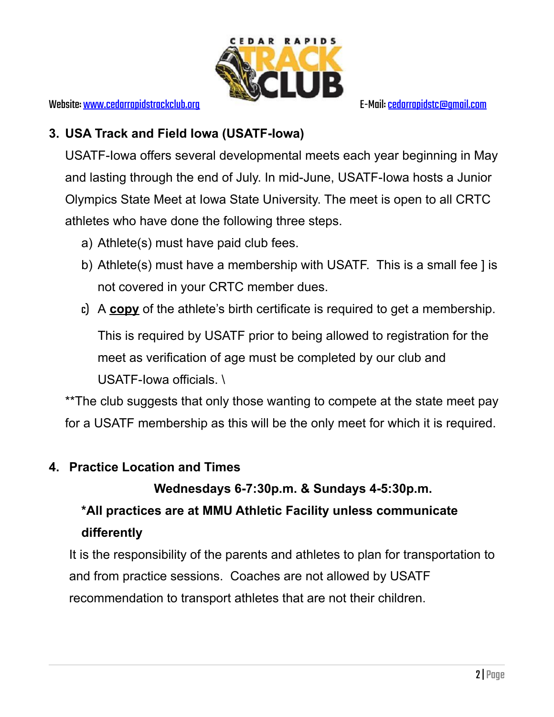

## **3. USA Track and Field Iowa (USATF-Iowa)**

USATF-Iowa offers several developmental meets each year beginning in May and lasting through the end of July. In mid-June, USATF-Iowa hosts a Junior Olympics State Meet at Iowa State University. The meet is open to all CRTC athletes who have done the following three steps.

- a) Athlete(s) must have paid club fees.
- b) Athlete(s) must have a membership with USATF. This is a small fee ] is not covered in your CRTC member dues.
- c) A **copy** of the athlete's birth certificate is required to get a membership.

This is required by USATF prior to being allowed to registration for the meet as verification of age must be completed by our club and USATF-Iowa officials. \

\*\*The club suggests that only those wanting to compete at the state meet pay for a USATF membership as this will be the only meet for which it is required.

## **4. Practice Location and Times**

## **Wednesdays 6-7:30p.m. & Sundays 4-5:30p.m.**

# **\*All practices are at MMU Athletic Facility unless communicate differently**

It is the responsibility of the parents and athletes to plan for transportation to and from practice sessions. Coaches are not allowed by USATF recommendation to transport athletes that are not their children.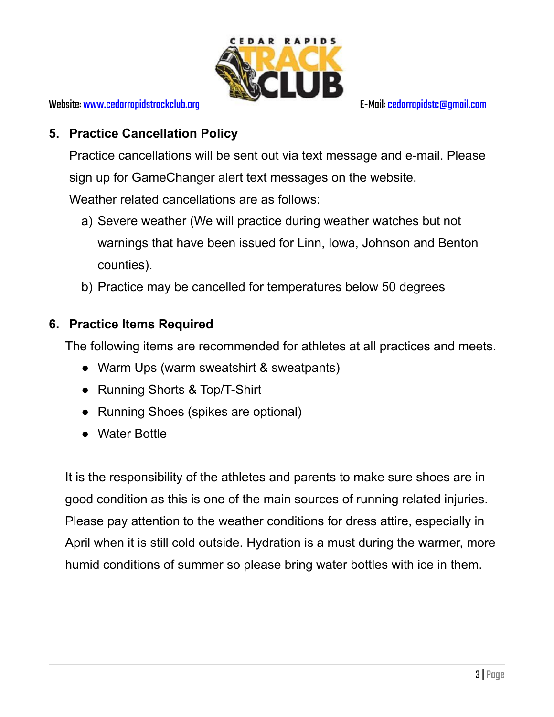

## **5. Practice Cancellation Policy**

Practice cancellations will be sent out via text message and e-mail. Please sign up for GameChanger alert text messages on the website. Weather related cancellations are as follows:

- a) Severe weather (We will practice during weather watches but not warnings that have been issued for Linn, Iowa, Johnson and Benton counties).
- b) Practice may be cancelled for temperatures below 50 degrees

## **6. Practice Items Required**

The following items are recommended for athletes at all practices and meets.

- Warm Ups (warm sweatshirt & sweatpants)
- Running Shorts & Top/T-Shirt
- Running Shoes (spikes are optional)
- Water Bottle

It is the responsibility of the athletes and parents to make sure shoes are in good condition as this is one of the main sources of running related injuries. Please pay attention to the weather conditions for dress attire, especially in April when it is still cold outside. Hydration is a must during the warmer, more humid conditions of summer so please bring water bottles with ice in them.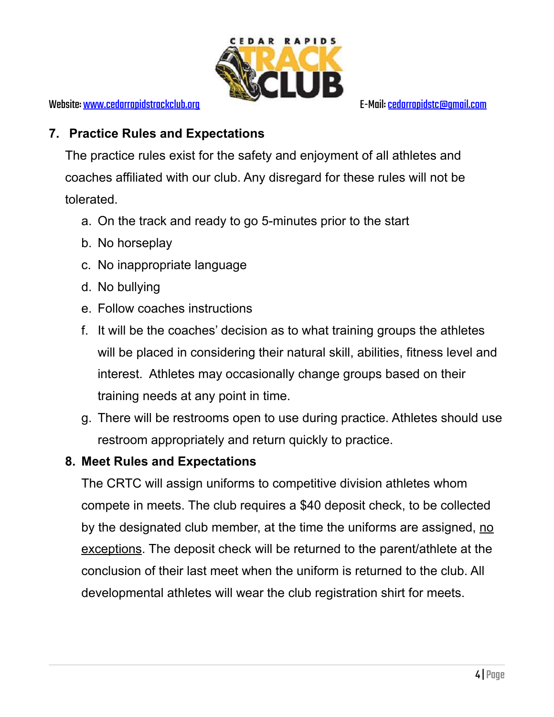

## **7. Practice Rules and Expectations**

The practice rules exist for the safety and enjoyment of all athletes and coaches affiliated with our club. Any disregard for these rules will not be tolerated.

- a. On the track and ready to go 5-minutes prior to the start
- b. No horseplay
- c. No inappropriate language
- d. No bullying
- e. Follow coaches instructions
- f. It will be the coaches' decision as to what training groups the athletes will be placed in considering their natural skill, abilities, fitness level and interest. Athletes may occasionally change groups based on their training needs at any point in time.
- g. There will be restrooms open to use during practice. Athletes should use restroom appropriately and return quickly to practice.

## **8. Meet Rules and Expectations**

The CRTC will assign uniforms to competitive division athletes whom compete in meets. The club requires a \$40 deposit check, to be collected by the designated club member, at the time the uniforms are assigned, no exceptions. The deposit check will be returned to the parent/athlete at the conclusion of their last meet when the uniform is returned to the club. All developmental athletes will wear the club registration shirt for meets.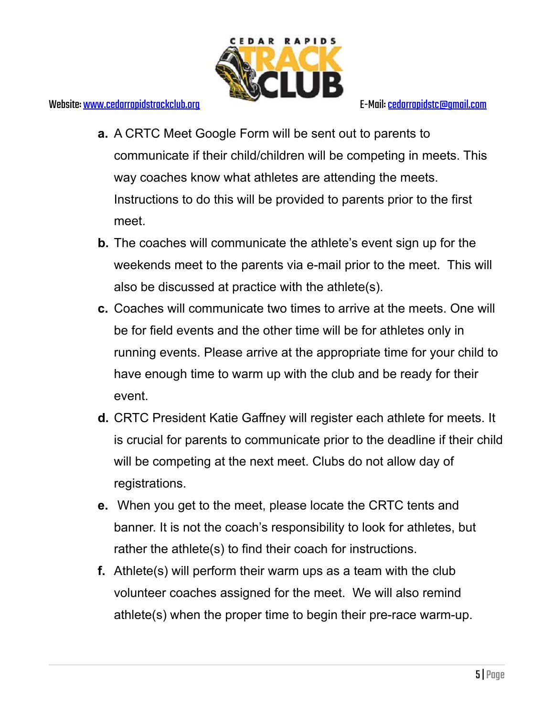

- **a.** A CRTC Meet Google Form will be sent out to parents to communicate if their child/children will be competing in meets. This way coaches know what athletes are attending the meets. Instructions to do this will be provided to parents prior to the first meet.
- **b.** The coaches will communicate the athlete's event sign up for the weekends meet to the parents via e-mail prior to the meet. This will also be discussed at practice with the athlete(s).
- **c.** Coaches will communicate two times to arrive at the meets. One will be for field events and the other time will be for athletes only in running events. Please arrive at the appropriate time for your child to have enough time to warm up with the club and be ready for their event.
- **d.** CRTC President Katie Gaffney will register each athlete for meets. It is crucial for parents to communicate prior to the deadline if their child will be competing at the next meet. Clubs do not allow day of registrations.
- **e.** When you get to the meet, please locate the CRTC tents and banner. It is not the coach's responsibility to look for athletes, but rather the athlete(s) to find their coach for instructions.
- **f.** Athlete(s) will perform their warm ups as a team with the club volunteer coaches assigned for the meet. We will also remind athlete(s) when the proper time to begin their pre-race warm-up.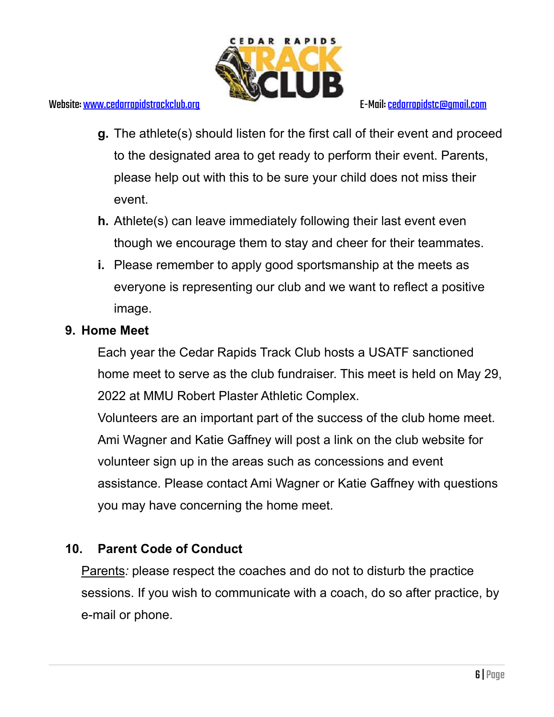

- **g.** The athlete(s) should listen for the first call of their event and proceed to the designated area to get ready to perform their event. Parents, please help out with this to be sure your child does not miss their event.
- **h.** Athlete(s) can leave immediately following their last event even though we encourage them to stay and cheer for their teammates.
- **i.** Please remember to apply good sportsmanship at the meets as everyone is representing our club and we want to reflect a positive image.

## **9. Home Meet**

Each year the Cedar Rapids Track Club hosts a USATF sanctioned home meet to serve as the club fundraiser. This meet is held on May 29, 2022 at MMU Robert Plaster Athletic Complex.

Volunteers are an important part of the success of the club home meet. Ami Wagner and Katie Gaffney will post a link on the club website for volunteer sign up in the areas such as concessions and event assistance. Please contact Ami Wagner or Katie Gaffney with questions you may have concerning the home meet.

## **10. Parent Code of Conduct**

Parents*:* please respect the coaches and do not to disturb the practice sessions. If you wish to communicate with a coach, do so after practice, by e-mail or phone.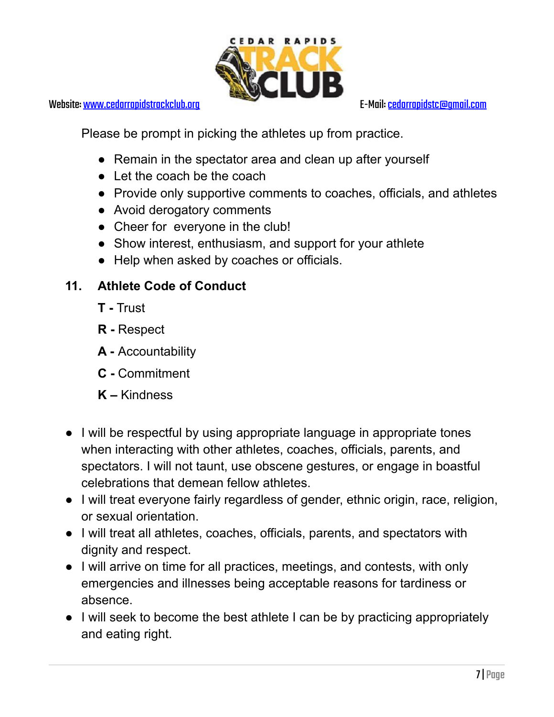

Website: [www.cedarrapidstrackclub.org](http://www.cedarrapidstrackclub.org) E-Mail: cedarrapidstc@gmail.com

Please be prompt in picking the athletes up from practice.

- Remain in the spectator area and clean up after yourself
- Let the coach be the coach
- Provide only supportive comments to coaches, officials, and athletes
- Avoid derogatory comments
- Cheer for everyone in the club!
- Show interest, enthusiasm, and support for your athlete
- Help when asked by coaches or officials.

## **11. Athlete Code of Conduct**

- **T -** Trust
- **R -** Respect
- **A -** Accountability
- **C -** Commitment
- **K –** Kindness
- I will be respectful by using appropriate language in appropriate tones when interacting with other athletes, coaches, officials, parents, and spectators. I will not taunt, use obscene gestures, or engage in boastful celebrations that demean fellow athletes.
- I will treat everyone fairly regardless of gender, ethnic origin, race, religion, or sexual orientation.
- I will treat all athletes, coaches, officials, parents, and spectators with dignity and respect.
- I will arrive on time for all practices, meetings, and contests, with only emergencies and illnesses being acceptable reasons for tardiness or absence.
- I will seek to become the best athlete I can be by practicing appropriately and eating right.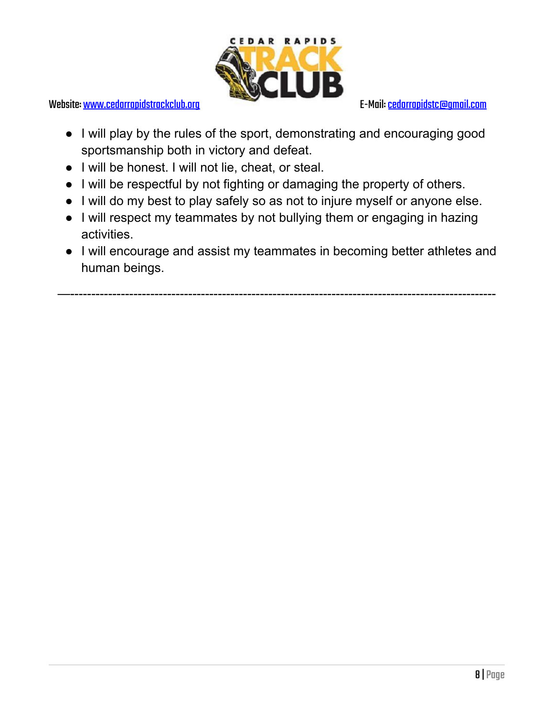

- I will play by the rules of the sport, demonstrating and encouraging good sportsmanship both in victory and defeat.
- I will be honest. I will not lie, cheat, or steal.
- I will be respectful by not fighting or damaging the property of others.
- I will do my best to play safely so as not to injure myself or anyone else.
- I will respect my teammates by not bullying them or engaging in hazing activities.
- **●** I will encourage and assist my teammates in becoming better athletes and human beings.

—-----------------------------------------------------------------------------------------------------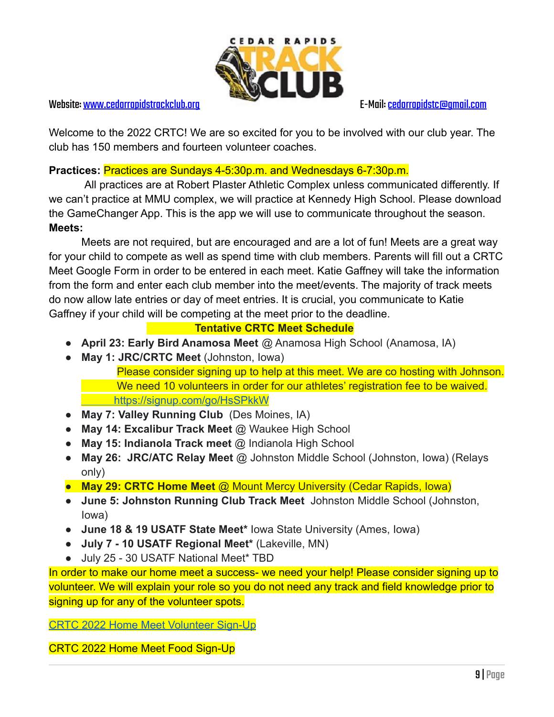

#### Website: [www.cedarrapidstrackclub.org](http://www.cedarrapidstrackclub.org) E-Mail: cedarrapidstc@gmail.com

Welcome to the 2022 CRTC! We are so excited for you to be involved with our club year. The club has 150 members and fourteen volunteer coaches.

### **Practices:** Practices are Sundays 4-5:30p.m. and Wednesdays 6-7:30p.m.

All practices are at Robert Plaster Athletic Complex unless communicated differently. If we can't practice at MMU complex, we will practice at Kennedy High School. Please download the GameChanger App. This is the app we will use to communicate throughout the season. **Meets:**

Meets are not required, but are encouraged and are a lot of fun! Meets are a great way for your child to compete as well as spend time with club members. Parents will fill out a CRTC Meet Google Form in order to be entered in each meet. Katie Gaffney will take the information from the form and enter each club member into the meet/events. The majority of track meets do now allow late entries or day of meet entries. It is crucial, you communicate to Katie Gaffney if your child will be competing at the meet prior to the deadline.

### **Tentative CRTC Meet Schedule**

- **April 23: Early Bird Anamosa Meet** @ Anamosa High School (Anamosa, IA)
- **May 1: JRC/CRTC Meet** (Johnston, Iowa) Please consider signing up to help at this meet. We are co hosting with Johnson. We need 10 volunteers in order for our athletes' registration fee to be waived. <https://signup.com/go/HsSPkkW>
- **May 7: Valley Running Club** (Des Moines, IA)
- **May 14: Excalibur Track Meet** @ Waukee High School
- **May 15: Indianola Track meet** @ Indianola High School
- **May 26: JRC/ATC Relay Meet** @ Johnston Middle School (Johnston, Iowa) (Relays only)
- **May 29: CRTC Home Meet** @ Mount Mercy University (Cedar Rapids, Iowa)
- **June 5: Johnston Running Club Track Meet** Johnston Middle School (Johnston, Iowa)
- **June 18 & 19 USATF State Meet\*** Iowa State University (Ames, Iowa)
- **July 7 10 USATF Regional Meet\*** (Lakeville, MN)
- July 25 30 USATF National Meet\* TBD

In order to make our home meet a success- we need your help! Please consider signing up to volunteer. We will explain your role so you do not need any track and field knowledge prior to signing up for any of the volunteer spots.

[CRTC 2022 Home Meet Volunteer Sign-Up](https://www.signupgenius.com/go/30e0a45aca62aa57-2022)

CRTC 2022 Home Meet Food Sign-Up